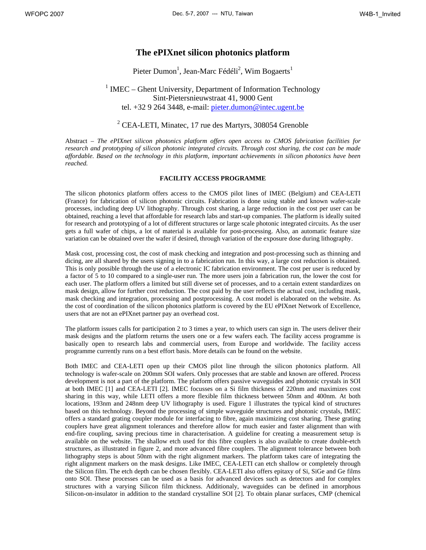## **The ePIXnet silicon photonics platform**

Pieter Dumon<sup>1</sup>, Jean-Marc Fédéli<sup>2</sup>, Wim Bogaerts<sup>1</sup>

 $1$  IMEC – Ghent University, Department of Information Technology Sint-Pietersnieuwstraat 41, 9000 Gent tel. +32 9 264 3448, e-mail: pieter.dumon@intec.ugent.be

# $2$  CEA-LETI, Minatec, 17 rue des Martyrs, 308054 Grenoble

Abstract *– The ePIXnet silicon photonics platform offers open access to CMOS fabrication facilities for research and prototyping of silicon photonic integrated circuits. Through cost sharing, the cost can be made affordable. Based on the technology in this platform, important achievements in silicon photonics have been reached.* 

#### **FACILITY ACCESS PROGRAMME**

The silicon photonics platform offers access to the CMOS pilot lines of IMEC (Belgium) and CEA-LETI (France) for fabrication of silicon photonic circuits. Fabrication is done using stable and known wafer-scale processes, including deep UV lithography. Through cost sharing, a large reduction in the cost per user can be obtained, reaching a level that affordable for research labs and start-up companies. The platform is ideally suited for research and prototyping of a lot of different structures or large scale photonic integrated circuits. As the user gets a full wafer of chips, a lot of material is available for post-processing. Also, an automatic feature size variation can be obtained over the wafer if desired, through variation of the exposure dose during lithography.

Mask cost, processing cost, the cost of mask checking and integration and post-processing such as thinning and dicing, are all shared by the users signing in to a fabrication run. In this way, a large cost reduction is obtained. This is only possible through the use of a electronic IC fabrication environment. The cost per user is reduced by a factor of 5 to 10 compared to a single-user run. The more users join a fabrication run, the lower the cost for each user. The platform offers a limited but still diverse set of processes, and to a certain extent standardizes on mask design, allow for further cost reduction. The cost paid by the user reflects the actual cost, including mask, mask checking and integration, processing and postprocessing. A cost model is elaborated on the website. As the cost of coordination of the silicon photonics platform is covered by the EU ePIXnet Network of Excellence, users that are not an ePIXnet partner pay an overhead cost.

The platform issues calls for participation 2 to 3 times a year, to which users can sign in. The users deliver their mask designs and the platform returns the users one or a few wafers each. The facility access programme is basically open to research labs and commercial users, from Europe and worldwide. The facility access programme currently runs on a best effort basis. More details can be found on the website.

Both IMEC and CEA-LETI open up their CMOS pilot line through the silicon photonics platform. All technology is wafer-scale on 200mm SOI wafers. Only processes that are stable and known are offered. Process development is not a part of the platform. The platform offers passive waveguides and photonic crystals in SOI at both IMEC [1] and CEA-LETI [2]. IMEC focusses on a Si film thickness of 220nm and maximizes cost sharing in this way, while LETI offers a more flexible film thickness between 50nm and 400nm. At both locations, 193nm and 248nm deep UV lithography is used. Figure 1 illustrates the typical kind of structures based on this technology. Beyond the processing of simple waveguide structures and photonic crystals, IMEC offers a standard grating coupler module for interfacing to fibre, again maximizing cost sharing. These grating couplers have great alignment tolerances and therefore allow for much easier and faster alignment than with end-fire coupling, saving precious time in characterisation. A guideline for creating a measurement setup is available on the website. The shallow etch used for this fibre couplers is also available to create double-etch structures, as illustrated in figure 2, and more advanced fibre couplers. The alignment tolerance between both lithography steps is about 50nm with the right alignment markers. The platform takes care of integrating the right alignment markers on the mask designs. Like IMEC, CEA-LETI can etch shallow or completely through the Silicon film. The etch depth can be chosen flexibly. CEA-LETI also offers epitaxy of Si, SiGe and Ge films onto SOI. These processes can be used as a basis for advanced devices such as detectors and for complex structures with a varying Silicon film thickness. Additionaly, waveguides can be defined in amorphous Silicon-on-insulator in addition to the standard crystalline SOI [2]. To obtain planar surfaces, CMP (chemical